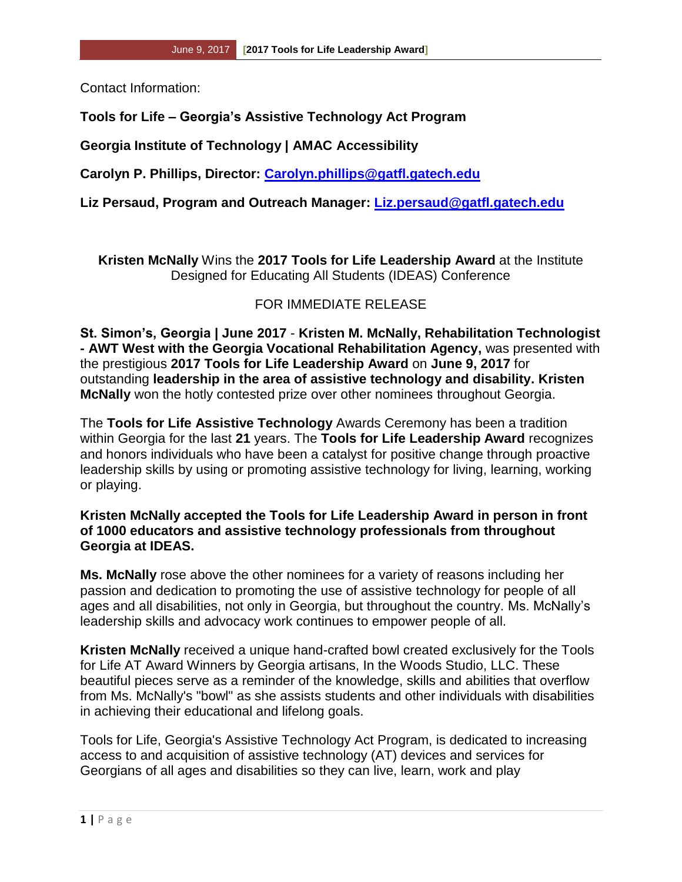Contact Information:

## **Tools for Life – Georgia's Assistive Technology Act Program**

**Georgia Institute of Technology | AMAC Accessibility**

**Carolyn P. Phillips, Director: [Carolyn.phillips@gatfl.gatech.edu](mailto:Carolyn.phillips@gatfl.gatech.edu)**

**Liz Persaud, Program and Outreach Manager: [Liz.persaud@gatfl.gatech.edu](mailto:Liz.persaud@gatfl.gatech.edu)**

**Kristen McNally** Wins the **2017 Tools for Life Leadership Award** at the Institute Designed for Educating All Students (IDEAS) Conference

## FOR IMMEDIATE RELEASE

**St. Simon's, Georgia | June 2017** - **Kristen M. McNally, Rehabilitation Technologist - AWT West with the Georgia Vocational Rehabilitation Agency,** was presented with the prestigious **2017 Tools for Life Leadership Award** on **June 9, 2017** for outstanding **leadership in the area of assistive technology and disability. Kristen McNally** won the hotly contested prize over other nominees throughout Georgia.

The **Tools for Life Assistive Technology** Awards Ceremony has been a tradition within Georgia for the last **21** years. The **Tools for Life Leadership Award** recognizes and honors individuals who have been a catalyst for positive change through proactive leadership skills by using or promoting assistive technology for living, learning, working or playing.

## **Kristen McNally accepted the Tools for Life Leadership Award in person in front of 1000 educators and assistive technology professionals from throughout Georgia at IDEAS.**

**Ms. McNally** rose above the other nominees for a variety of reasons including her passion and dedication to promoting the use of assistive technology for people of all ages and all disabilities, not only in Georgia, but throughout the country. Ms. McNally's leadership skills and advocacy work continues to empower people of all.

**Kristen McNally** received a unique hand-crafted bowl created exclusively for the Tools for Life AT Award Winners by Georgia artisans, In the Woods Studio, LLC. These beautiful pieces serve as a reminder of the knowledge, skills and abilities that overflow from Ms. McNally's "bowl" as she assists students and other individuals with disabilities in achieving their educational and lifelong goals.

Tools for Life, Georgia's Assistive Technology Act Program, is dedicated to increasing access to and acquisition of assistive technology (AT) devices and services for Georgians of all ages and disabilities so they can live, learn, work and play